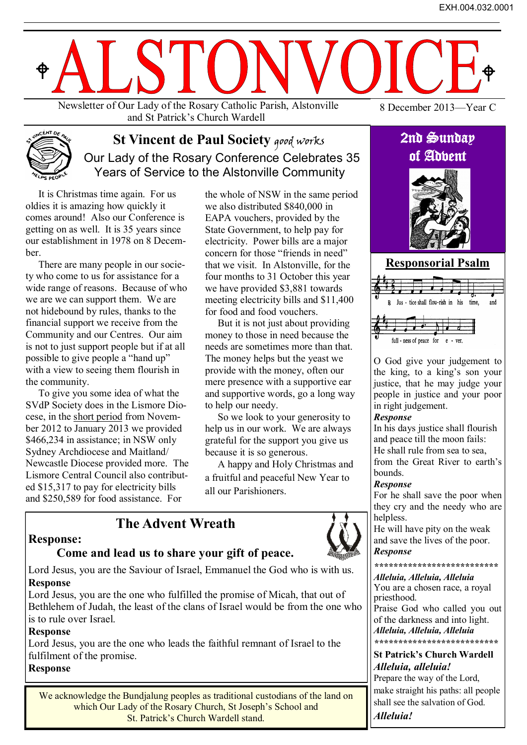

and St Patrick's Church Wardell

8 December 2013—Year C



# **St Vincent de Paul Society qood works**  Our Lady of the Rosary Conference Celebrates 35 Years of Service to the Alstonville Community

It is Christmas time again. For us oldies it is amazing how quickly it comes around! Also our Conference is getting on as well. It is 35 years since our establishment in 1978 on 8 December.

There are many people in our society who come to us for assistance for a wide range of reasons. Because of who we are we can support them. We are not hidebound by rules, thanks to the financial support we receive from the Community and our Centres. Our aim is not to just support people but if at all possible to give people a "hand up" with a view to seeing them flourish in the community.

To give you some idea of what the SVdP Society does in the Lismore Diocese, in the short period from November 2012 to January 2013 we provided \$466,234 in assistance; in NSW only Sydney Archdiocese and Maitland/ Newcastle Diocese provided more. The Lismore Central Council also contributed \$15,317 to pay for electricity bills and \$250,589 for food assistance. For

the whole of NSW in the same period we also distributed \$840,000 in EAPA vouchers, provided by the State Government, to help pay for electricity. Power bills are a major concern for those "friends in need" that we visit. In Alstonville, for the four months to 31 October this year we have provided \$3,881 towards meeting electricity bills and \$11,400 for food and food vouchers.

But it is not just about providing money to those in need because the needs are sometimes more than that. The money helps but the yeast we provide with the money, often our mere presence with a supportive ear and supportive words, go a long way to help our needy.

So we look to your generosity to help us in our work. We are always grateful for the support you give us because it is so generous.

A happy and Holy Christmas and a fruitful and peaceful New Year to all our Parishioners.

# **Response:**

## **Come and lead us to share your gift of peace.**

**The Advent Wreath**

Lord Jesus, you are the Saviour of Israel, Emmanuel the God who is with us. **Response**

Lord Jesus, you are the one who fulfilled the promise of Micah, that out of Bethlehem of Judah, the least of the clans of Israel would be from the one who is to rule over Israel.

#### **Response**

Lord Jesus, you are the one who leads the faithful remnant of Israel to the fulfilment of the promise. **Response**

### We acknowledge the Bundjalung peoples as traditional custodians of the land on which Our Lady of the Rosary Church, St Joseph's School and St. Patrick's Church Wardell stand.

# 2nd Sunday of Advent





O God give your judgement to the king, to a king's son your justice, that he may judge your people in justice and your poor in right judgement.

#### *Response*

In his days justice shall flourish and peace till the moon fails: He shall rule from sea to sea, from the Great River to earth's bounds.

#### *Response*

For he shall save the poor when they cry and the needy who are helpless.

He will have pity on the weak and save the lives of the poor. *Response*

#### *\*\*\*\*\*\*\*\*\*\*\*\*\*\*\*\*\*\*\*\*\*\*\*\*\*\**

*Alleluia, Alleluia, Alleluia* You are a chosen race, a royal priesthood.

Praise God who called you out of the darkness and into light. *Alleluia, Alleluia, Alleluia*

*\*\*\*\*\*\*\*\*\*\*\*\*\*\*\*\*\*\*\*\*\*\*\*\*\*\**

#### **St Patrick's Church Wardell** *Alleluia, alleluia!*

Prepare the way of the Lord, make straight his paths: all people shall see the salvation of God. *Alleluia!*

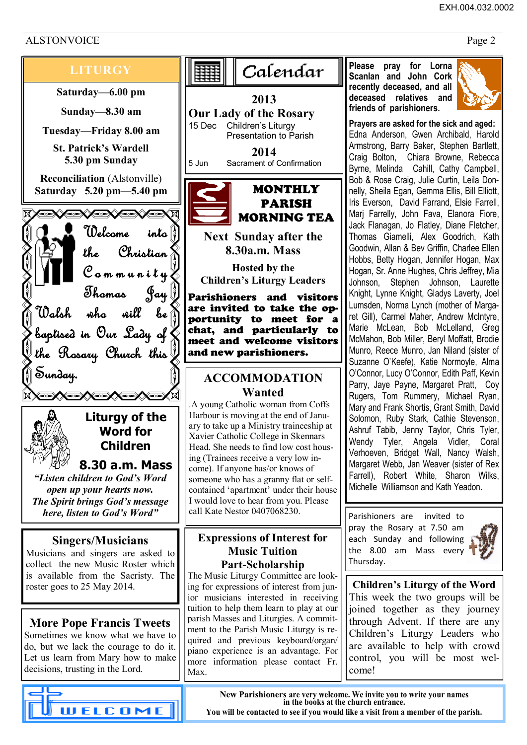# ALSTONVOICE Page 2



are invited to take the opportunity to meet for a chat, and particularly to meet and welcome visitors

# **ACCOMMODATION**

.A young Catholic woman from Coffs Harbour is moving at the end of January to take up a Ministry traineeship at Xavier Catholic College in Skennars Head. She needs to find low cost houssomeone who has a granny flat or selfcontained 'apartment' under their house I would love to hear from you. Please

# **Expressions of Interest for**

The Music Liturgy Committee are looking for expressions of interest from junior musicians interested in receiving tuition to help them learn to play at our parish Masses and Liturgies. A commitment to the Parish Music Liturgy is required and previous keyboard/organ/ piano experience is an advantage. For more information please contact Fr. **Please pray for Lorna Scanlan and John Cork recently deceased, and all deceased relatives and friends of parishioners.** 



**Prayers are asked for the sick and aged:**  Edna Anderson, Gwen Archibald, Harold Armstrong, Barry Baker, Stephen Bartlett, Craig Bolton, Chiara Browne, Rebecca Byrne, Melinda Cahill, Cathy Campbell, Bob & Rose Craig, Julie Curtin, Leila Donnelly, Sheila Egan, Gemma Ellis, Bill Elliott, Iris Everson, David Farrand, Elsie Farrell, Marj Farrelly, John Fava, Elanora Fiore, Jack Flanagan, Jo Flatley, Diane Fletcher, Thomas Giamelli, Alex Goodrich, Kath Goodwin, Allan & Bev Griffin, Charlee Ellen Hobbs, Betty Hogan, Jennifer Hogan, Max Hogan, Sr. Anne Hughes, Chris Jeffrey, Mia Johnson, Stephen Johnson, Laurette Knight, Lynne Knight, Gladys Laverty, Joel Lumsden, Norma Lynch (mother of Margaret Gill), Carmel Maher, Andrew McIntyre, Marie McLean, Bob McLelland, Greg McMahon, Bob Miller, Beryl Moffatt, Brodie Munro, Reece Munro, Jan Niland (sister of Suzanne O'Keefe), Katie Normoyle, Alma O'Connor, Lucy O'Connor, Edith Paff, Kevin Parry, Jaye Payne, Margaret Pratt, Coy Rugers, Tom Rummery, Michael Ryan, Mary and Frank Shortis, Grant Smith, David Solomon, Ruby Stark, Cathie Stevenson, Ashruf Tabib, Jenny Taylor, Chris Tyler, Wendy Tyler, Angela Vidler, Coral Verhoeven, Bridget Wall, Nancy Walsh, Margaret Webb, Jan Weaver (sister of Rex Farrell), Robert White, Sharon Wilks, Michelle Williamson and Kath Yeadon.

Parishioners are invited to pray the Rosary at 7.50 am each Sunday and following the 8.00 am Mass every Thursday.



**Children's Liturgy of the Word** This week the two groups will be joined together as they journey through Advent. If there are any Children's Liturgy Leaders who are available to help with crowd control, you will be most welcome!

**New Parishioners are very welcome. We invite you to write your names in the books at the church entrance. You will be contacted to see if you would like a visit from a member of the parish.**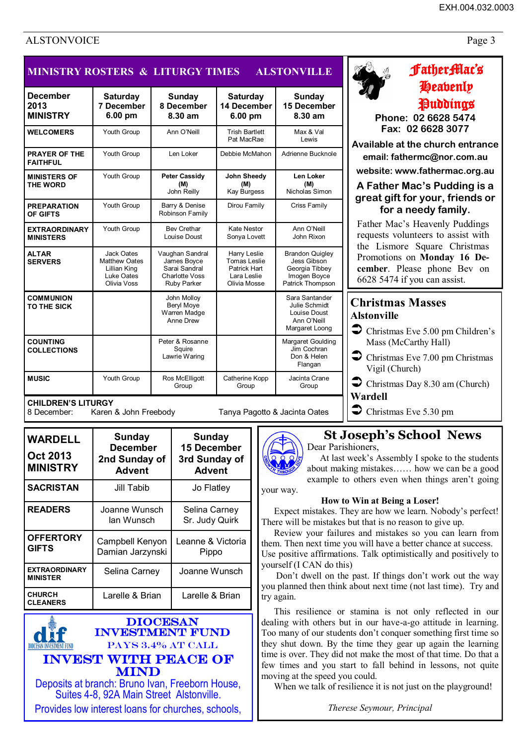#### EXH.004.032.0003

# ALSTONVOICE Page 3

| <b>MINISTRY ROSTERS &amp; LITURGY TIMES</b><br><b>ALSTONVILLE</b> |                                                                                 |                                                                                                |                                                                             |                                                                                             |
|-------------------------------------------------------------------|---------------------------------------------------------------------------------|------------------------------------------------------------------------------------------------|-----------------------------------------------------------------------------|---------------------------------------------------------------------------------------------|
| <b>December</b><br>2013<br><b>MINISTRY</b>                        | <b>Saturday</b><br><b>7 December</b><br>6.00 pm                                 | <b>Sunday</b><br>8 December<br>8.30 am                                                         | <b>Saturday</b><br>14 December<br>6.00 pm                                   | <b>Sunday</b><br><b>15 December</b><br>8.30 am                                              |
| <b>WELCOMERS</b>                                                  | Youth Group                                                                     | Ann O'Neill                                                                                    | <b>Trish Bartlett</b><br>Pat MacRae                                         | Max & Val<br>I ewis                                                                         |
| <b>PRAYER OF THE</b><br><b>FAITHFUL</b>                           | Youth Group                                                                     | Len Loker                                                                                      | Debbie McMahon                                                              | Adrienne Bucknole                                                                           |
| <b>MINISTERS OF</b><br><b>THE WORD</b>                            | Youth Group                                                                     | <b>Peter Cassidy</b><br>(M)<br>John Reilly                                                     | <b>John Sheedy</b><br>(M)<br><b>Kay Burgess</b>                             | Len Loker<br>(M)<br>Nicholas Simon                                                          |
| <b>PREPARATION</b><br>OF GIFTS                                    | Youth Group                                                                     | Barry & Denise<br>Robinson Family                                                              | Dirou Family                                                                | Criss Family                                                                                |
| <b>EXTRAORDINARY</b><br><b>MINISTERS</b>                          | Youth Group                                                                     | <b>Bev Crethar</b><br>Louise Doust                                                             | Kate Nestor<br>Sonya Lovett                                                 | Ann O'Neill<br>John Rixon                                                                   |
| <b>ALTAR</b><br><b>SERVERS</b>                                    | Jack Oates<br><b>Matthew Oates</b><br>Lillian King<br>Luke Oates<br>Olivia Voss | Vaughan Sandral<br>James Boyce<br>Sarai Sandral<br><b>Charlotte Voss</b><br><b>Ruby Parker</b> | Harry Leslie<br>Tomas Leslie<br>Patrick Hart<br>Lara Leslie<br>Olivia Mosse | <b>Brandon Quigley</b><br>Jess Gibson<br>Georgia Tibbey<br>Imogen Boyce<br>Patrick Thompson |
| <b>COMMUNION</b><br>TO THE SICK                                   |                                                                                 | John Molloy<br>Beryl Moye<br>Warren Madge<br>Anne Drew                                         |                                                                             | Sara Santander<br>Julie Schmidt<br>Louise Doust<br>Ann O'Neill<br>Margaret Loong            |
| <b>COUNTING</b><br><b>COLLECTIONS</b>                             |                                                                                 | Peter & Rosanne<br>Squire<br>Lawrie Waring                                                     |                                                                             | Margaret Goulding<br>Jim Cochran<br>Don & Helen<br>Flangan                                  |
| <b>MUSIC</b>                                                      | Youth Group                                                                     | Ros McElligott<br>Group                                                                        | Catherine Kopp<br>Group                                                     | Jacinta Crane<br>Group                                                                      |

8 December: Karen & John Freebody Tanya Pagotto & Jacinta Oates

| <b>WARDELL</b><br><b>Oct 2013</b><br><b>MINISTRY</b> | Sunday<br><b>December</b><br>2nd Sunday of<br><b>Advent</b> | <b>Sunday</b><br><b>15 December</b><br>3rd Sunday of<br><b>Advent</b> |  |
|------------------------------------------------------|-------------------------------------------------------------|-----------------------------------------------------------------------|--|
| <b>SACRISTAN</b>                                     | Jill Tabib                                                  | Jo Flatley                                                            |  |
| <b>READERS</b>                                       | Joanne Wunsch<br>lan Wunsch                                 | Selina Carney<br>Sr. Judy Quirk                                       |  |
| <b>OFFERTORY</b><br><b>GIFTS</b>                     | Campbell Kenyon<br>Damian Jarzynski                         | Leanne & Victoria<br>Pippo                                            |  |
| <b>EXTRAORDINARY</b><br><b>MINISTER</b>              | Selina Carney                                               | Joanne Wunsch                                                         |  |
| <b>CHURCH</b><br><b>CLEANERS</b>                     | Larelle & Brian                                             | Larelle & Brian                                                       |  |

DIOCESAN INVESTMENT FUND PAYS 3.4% AT CALL Invest with peace of mind Deposits at branch: Bruno Ivan, Freeborn House, Suites 4-8, 92A Main Street Alstonville.

Provides low interest loans for churches, schools,

| ı                                                             |   |        |  |
|---------------------------------------------------------------|---|--------|--|
| ç<br>ç<br>l                                                   |   |        |  |
| Y.<br>Y.<br>٠<br>ï<br>٠<br>'n<br>ï<br>ç<br>ç<br>٠<br>Y.<br>۰. | ı | ۰<br>ç |  |

# FatherMac's

# Heavenly Puddings

**Phone: 02 6628 5474 Fax: 02 6628 3077** 

**Available at the church entrance email: fathermc@nor.com.au** 

**website: www.fathermac.org.au** 

### **A Father Mac's Pudding is a great gift for your, friends or for a needy family.**

Father Mac's Heavenly Puddings requests volunteers to assist with the Lismore Square Christmas Promotions on **Monday 16 December**. Please phone Bev on 6628 5474 if you can assist.

# **Christmas Masses Alstonville**

- $\triangleright$  Christmas Eve 5.00 pm Children's Mass (McCarthy Hall)
- $\triangleright$  Christmas Eve 7.00 pm Christmas Vigil (Church)
- $\triangleright$  Christmas Day 8.30 am (Church)
- **Wardell**
- $\triangleright$  Christmas Eve 5.30 pm

# **St Joseph's School News**

Dear Parishioners,

At last week's Assembly I spoke to the students about making mistakes…… how we can be a good example to others even when things aren't going

your way.

### **How to Win at Being a Loser!**

Expect mistakes. They are how we learn. Nobody's perfect! There will be mistakes but that is no reason to give up.

Review your failures and mistakes so you can learn from them. Then next time you will have a better chance at success. Use positive affirmations. Talk optimistically and positively to yourself (I CAN do this)

 Don't dwell on the past. If things don't work out the way you planned then think about next time (not last time). Try and try again.

This resilience or stamina is not only reflected in our dealing with others but in our have-a-go attitude in learning. Too many of our students don't conquer something first time so they shut down. By the time they gear up again the learning time is over. They did not make the most of that time. Do that a few times and you start to fall behind in lessons, not quite moving at the speed you could.

When we talk of resilience it is not just on the playground!

*Therese Seymour, Principal*